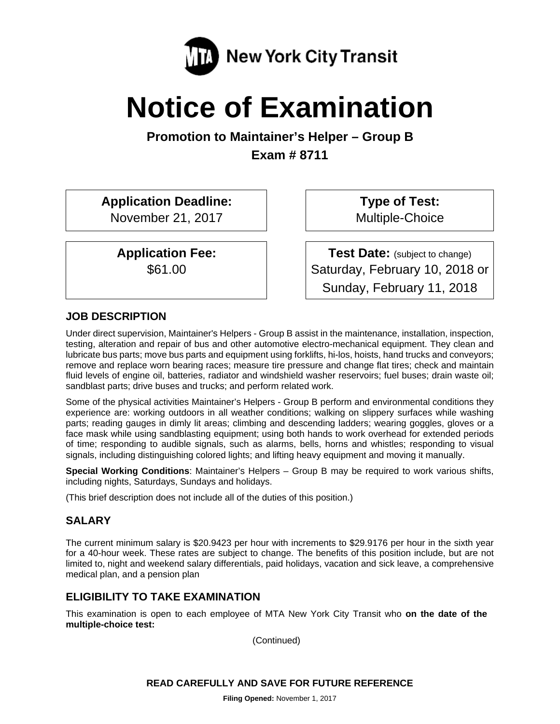

# **Notice of Examination**

**Promotion to Maintainer's Helper – Group B Exam # 8711** 

**Application Deadline:**  November 21, 2017

> **Application Fee:**  \$61.00

**Type of Test:**  Multiple-Choice

**Test Date:** (subject to change) Saturday, February 10, 2018 or Sunday, February 11, 2018

# **JOB DESCRIPTION**

Under direct supervision, Maintainer's Helpers - Group B assist in the maintenance, installation, inspection, testing, alteration and repair of bus and other automotive electro-mechanical equipment. They clean and lubricate bus parts; move bus parts and equipment using forklifts, hi-los, hoists, hand trucks and conveyors; remove and replace worn bearing races; measure tire pressure and change flat tires; check and maintain fluid levels of engine oil, batteries, radiator and windshield washer reservoirs; fuel buses; drain waste oil; sandblast parts; drive buses and trucks; and perform related work.

Some of the physical activities Maintainer's Helpers - Group B perform and environmental conditions they experience are: working outdoors in all weather conditions; walking on slippery surfaces while washing parts; reading gauges in dimly lit areas; climbing and descending ladders; wearing goggles, gloves or a face mask while using sandblasting equipment; using both hands to work overhead for extended periods of time; responding to audible signals, such as alarms, bells, horns and whistles; responding to visual signals, including distinguishing colored lights; and lifting heavy equipment and moving it manually.

**Special Working Conditions**: Maintainer's Helpers – Group B may be required to work various shifts, including nights, Saturdays, Sundays and holidays.

(This brief description does not include all of the duties of this position.)

# **SALARY**

The current minimum salary is \$20.9423 per hour with increments to \$29.9176 per hour in the sixth year for a 40-hour week. These rates are subject to change. The benefits of this position include, but are not limited to, night and weekend salary differentials, paid holidays, vacation and sick leave, a comprehensive medical plan, and a pension plan

# **ELIGIBILITY TO TAKE EXAMINATION**

This examination is open to each employee of MTA New York City Transit who **on the date of the multiple-choice test:** 

(Continued)

### **READ CAREFULLY AND SAVE FOR FUTURE REFERENCE**

**Filing Opened:** November 1, 2017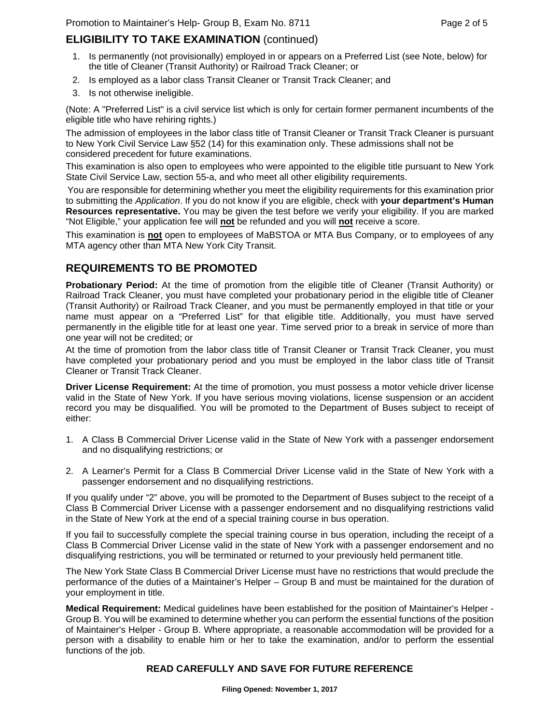# **ELIGIBILITY TO TAKE EXAMINATION** (continued)

- 1. Is permanently (not provisionally) employed in or appears on a Preferred List (see Note, below) for the title of Cleaner (Transit Authority) or Railroad Track Cleaner; or
- 2. Is employed as a labor class Transit Cleaner or Transit Track Cleaner; and
- 3. Is not otherwise ineligible.

(Note: A "Preferred List" is a civil service list which is only for certain former permanent incumbents of the eligible title who have rehiring rights.)

The admission of employees in the labor class title of Transit Cleaner or Transit Track Cleaner is pursuant to New York Civil Service Law §52 (14) for this examination only. These admissions shall not be considered precedent for future examinations.

This examination is also open to employees who were appointed to the eligible title pursuant to New York State Civil Service Law, section 55-a, and who meet all other eligibility requirements.

You are responsible for determining whether you meet the eligibility requirements for this examination prior to submitting the *Application*. If you do not know if you are eligible, check with **your department's Human Resources representative.** You may be given the test before we verify your eligibility. If you are marked "Not Eligible," your application fee will **not** be refunded and you will **not** receive a score.

This examination is **not** open to employees of MaBSTOA or MTA Bus Company, or to employees of any MTA agency other than MTA New York City Transit.

# **REQUIREMENTS TO BE PROMOTED**

**Probationary Period:** At the time of promotion from the eligible title of Cleaner (Transit Authority) or Railroad Track Cleaner, you must have completed your probationary period in the eligible title of Cleaner (Transit Authority) or Railroad Track Cleaner, and you must be permanently employed in that title or your name must appear on a "Preferred List" for that eligible title. Additionally, you must have served permanently in the eligible title for at least one year. Time served prior to a break in service of more than one year will not be credited; or

At the time of promotion from the labor class title of Transit Cleaner or Transit Track Cleaner, you must have completed your probationary period and you must be employed in the labor class title of Transit Cleaner or Transit Track Cleaner.

**Driver License Requirement:** At the time of promotion, you must possess a motor vehicle driver license valid in the State of New York. If you have serious moving violations, license suspension or an accident record you may be disqualified. You will be promoted to the Department of Buses subject to receipt of either:

- 1. A Class B Commercial Driver License valid in the State of New York with a passenger endorsement and no disqualifying restrictions; or
- 2. A Learner's Permit for a Class B Commercial Driver License valid in the State of New York with a passenger endorsement and no disqualifying restrictions.

If you qualify under "2" above, you will be promoted to the Department of Buses subject to the receipt of a Class B Commercial Driver License with a passenger endorsement and no disqualifying restrictions valid in the State of New York at the end of a special training course in bus operation.

If you fail to successfully complete the special training course in bus operation, including the receipt of a Class B Commercial Driver License valid in the state of New York with a passenger endorsement and no disqualifying restrictions, you will be terminated or returned to your previously held permanent title.

The New York State Class B Commercial Driver License must have no restrictions that would preclude the performance of the duties of a Maintainer's Helper – Group B and must be maintained for the duration of your employment in title.

**Medical Requirement:** Medical guidelines have been established for the position of Maintainer's Helper - Group B. You will be examined to determine whether you can perform the essential functions of the position of Maintainer's Helper - Group B. Where appropriate, a reasonable accommodation will be provided for a person with a disability to enable him or her to take the examination, and/or to perform the essential functions of the job.

#### **READ CAREFULLY AND SAVE FOR FUTURE REFERENCE**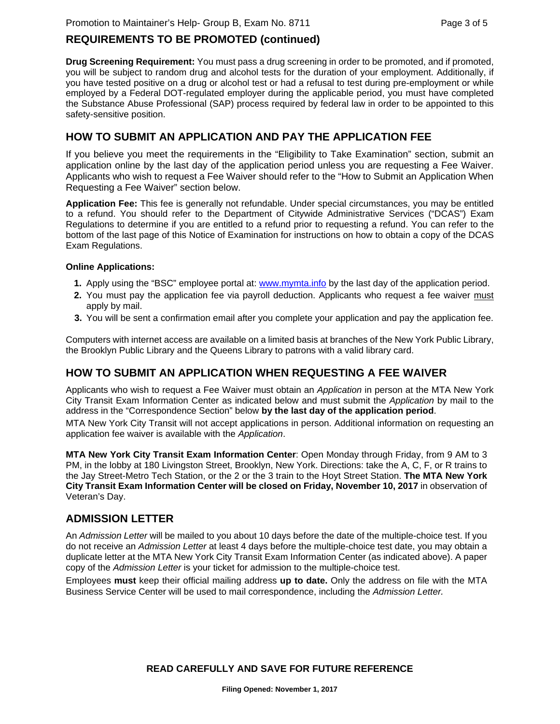# **REQUIREMENTS TO BE PROMOTED (continued)**

**Drug Screening Requirement:** You must pass a drug screening in order to be promoted, and if promoted, you will be subject to random drug and alcohol tests for the duration of your employment. Additionally, if you have tested positive on a drug or alcohol test or had a refusal to test during pre-employment or while employed by a Federal DOT-regulated employer during the applicable period, you must have completed the Substance Abuse Professional (SAP) process required by federal law in order to be appointed to this safety-sensitive position.

# **HOW TO SUBMIT AN APPLICATION AND PAY THE APPLICATION FEE**

If you believe you meet the requirements in the "Eligibility to Take Examination" section, submit an application online by the last day of the application period unless you are requesting a Fee Waiver. Applicants who wish to request a Fee Waiver should refer to the "How to Submit an Application When Requesting a Fee Waiver" section below.

**Application Fee:** This fee is generally not refundable. Under special circumstances, you may be entitled to a refund. You should refer to the Department of Citywide Administrative Services ("DCAS") Exam Regulations to determine if you are entitled to a refund prior to requesting a refund. You can refer to the bottom of the last page of this Notice of Examination for instructions on how to obtain a copy of the DCAS Exam Regulations.

#### **Online Applications:**

- **1.** Apply using the "BSC" employee portal at: www.mymta.info by the last day of the application period.
- **2.** You must pay the application fee via payroll deduction. Applicants who request a fee waiver must apply by mail.
- **3.** You will be sent a confirmation email after you complete your application and pay the application fee.

Computers with internet access are available on a limited basis at branches of the New York Public Library, the Brooklyn Public Library and the Queens Library to patrons with a valid library card.

# **HOW TO SUBMIT AN APPLICATION WHEN REQUESTING A FEE WAIVER**

Applicants who wish to request a Fee Waiver must obtain an *Application* in person at the MTA New York City Transit Exam Information Center as indicated below and must submit the *Application* by mail to the address in the "Correspondence Section" below **by the last day of the application period**.

MTA New York City Transit will not accept applications in person. Additional information on requesting an application fee waiver is available with the *Application*.

**MTA New York City Transit Exam Information Center**: Open Monday through Friday, from 9 AM to 3 PM, in the lobby at 180 Livingston Street, Brooklyn, New York. Directions: take the A, C, F, or R trains to the Jay Street-Metro Tech Station, or the 2 or the 3 train to the Hoyt Street Station. **The MTA New York City Transit Exam Information Center will be closed on Friday, November 10, 2017** in observation of Veteran's Day.

# **ADMISSION LETTER**

An *Admission Letter* will be mailed to you about 10 days before the date of the multiple-choice test. If you do not receive an *Admission Letter* at least 4 days before the multiple-choice test date, you may obtain a duplicate letter at the MTA New York City Transit Exam Information Center (as indicated above). A paper copy of the *Admission Letter* is your ticket for admission to the multiple-choice test.

Employees **must** keep their official mailing address **up to date.** Only the address on file with the MTA Business Service Center will be used to mail correspondence, including the *Admission Letter.*

### **READ CAREFULLY AND SAVE FOR FUTURE REFERENCE**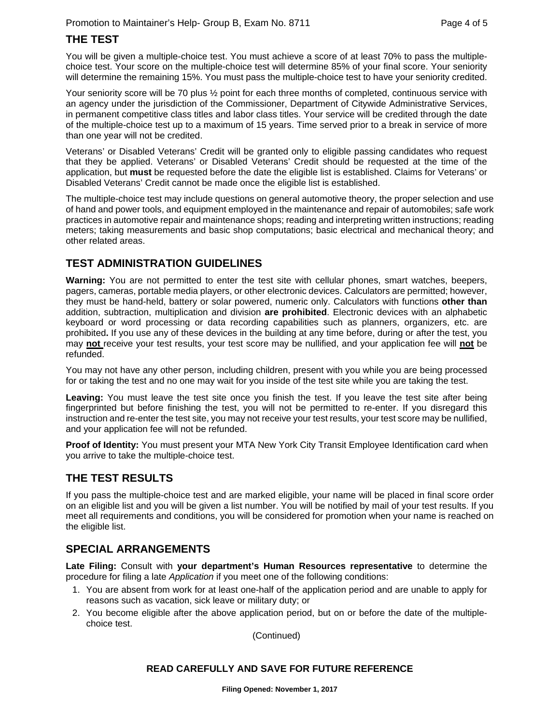# **THE TEST**

You will be given a multiple-choice test. You must achieve a score of at least 70% to pass the multiplechoice test. Your score on the multiple-choice test will determine 85% of your final score. Your seniority will determine the remaining 15%. You must pass the multiple-choice test to have your seniority credited.

Your seniority score will be 70 plus  $\frac{1}{2}$  point for each three months of completed, continuous service with an agency under the jurisdiction of the Commissioner, Department of Citywide Administrative Services, in permanent competitive class titles and labor class titles. Your service will be credited through the date of the multiple-choice test up to a maximum of 15 years. Time served prior to a break in service of more than one year will not be credited.

Veterans' or Disabled Veterans' Credit will be granted only to eligible passing candidates who request that they be applied. Veterans' or Disabled Veterans' Credit should be requested at the time of the application, but **must** be requested before the date the eligible list is established. Claims for Veterans' or Disabled Veterans' Credit cannot be made once the eligible list is established.

The multiple-choice test may include questions on general automotive theory, the proper selection and use of hand and power tools, and equipment employed in the maintenance and repair of automobiles; safe work practices in automotive repair and maintenance shops; reading and interpreting written instructions; reading meters; taking measurements and basic shop computations; basic electrical and mechanical theory; and other related areas.

# **TEST ADMINISTRATION GUIDELINES**

**Warning:** You are not permitted to enter the test site with cellular phones, smart watches, beepers, pagers, cameras, portable media players, or other electronic devices. Calculators are permitted; however, they must be hand-held, battery or solar powered, numeric only. Calculators with functions **other than** addition, subtraction, multiplication and division **are prohibited**. Electronic devices with an alphabetic keyboard or word processing or data recording capabilities such as planners, organizers, etc. are prohibited**.** If you use any of these devices in the building at any time before, during or after the test, you may **not** receive your test results, your test score may be nullified, and your application fee will **not** be refunded.

You may not have any other person, including children, present with you while you are being processed for or taking the test and no one may wait for you inside of the test site while you are taking the test.

Leaving: You must leave the test site once you finish the test. If you leave the test site after being fingerprinted but before finishing the test, you will not be permitted to re-enter. If you disregard this instruction and re-enter the test site, you may not receive your test results, your test score may be nullified, and your application fee will not be refunded.

**Proof of Identity:** You must present your MTA New York City Transit Employee Identification card when you arrive to take the multiple-choice test.

# **THE TEST RESULTS**

If you pass the multiple-choice test and are marked eligible, your name will be placed in final score order on an eligible list and you will be given a list number. You will be notified by mail of your test results. If you meet all requirements and conditions, you will be considered for promotion when your name is reached on the eligible list.

### **SPECIAL ARRANGEMENTS**

**Late Filing:** Consult with **your department's Human Resources representative** to determine the procedure for filing a late *Application* if you meet one of the following conditions:

- 1. You are absent from work for at least one-half of the application period and are unable to apply for reasons such as vacation, sick leave or military duty; or
- 2. You become eligible after the above application period, but on or before the date of the multiplechoice test.

(Continued)

#### **READ CAREFULLY AND SAVE FOR FUTURE REFERENCE**